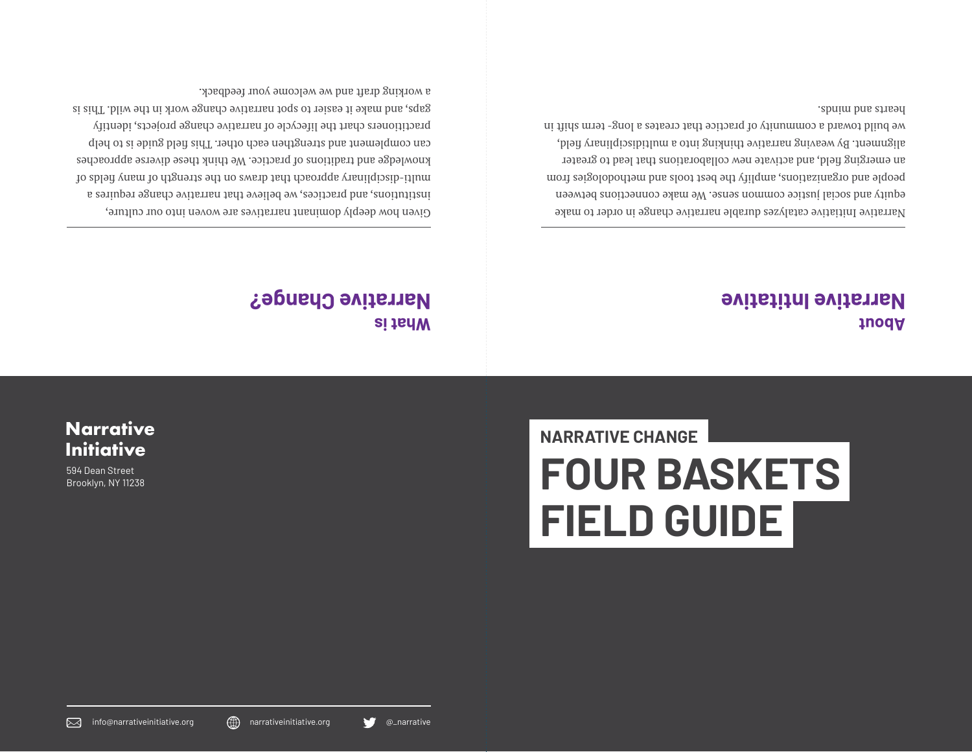

**Initiative** 594 Dean Street Brooklyn, NY 11238

**Narrative**

# **FOUR BASKETS FIELD GUIDE**

**NARRATIVE CHANGE**

### **What is Narrative Change?**

Given how deeply dominant narratives are woven into our culture, institutions, and practices, we believe that narrative change requires a multi-disciplinary approach that draws on the strength of pelog of many fields of knowledge and traditions of practice. We think these diverse approaches can complement and strengthen each other. This field guide is to help practitioners chart the lifecycle of narrative change projects, identify gaps, and make it easier to spot narrative change work in the wild. This is a working draft and we welcome your feedback.

**Narrative Intitative**

**About** 

Narrative Initiative catalyzes durable narrative change in order to make equity and social justice common sense. We make connections between people and organizations, amplify the best tools and methodologies from an emerging field, and activate new collaborations that lead to greater alignment. By weaving narrative thinking into a multidisciplinary field, we build toward a community of practice that creates a long- term shift in hearts and minds.